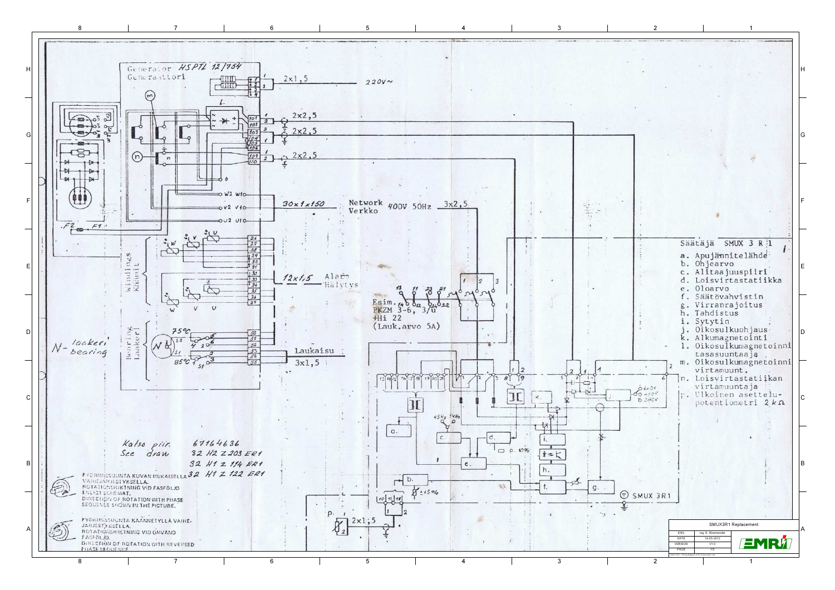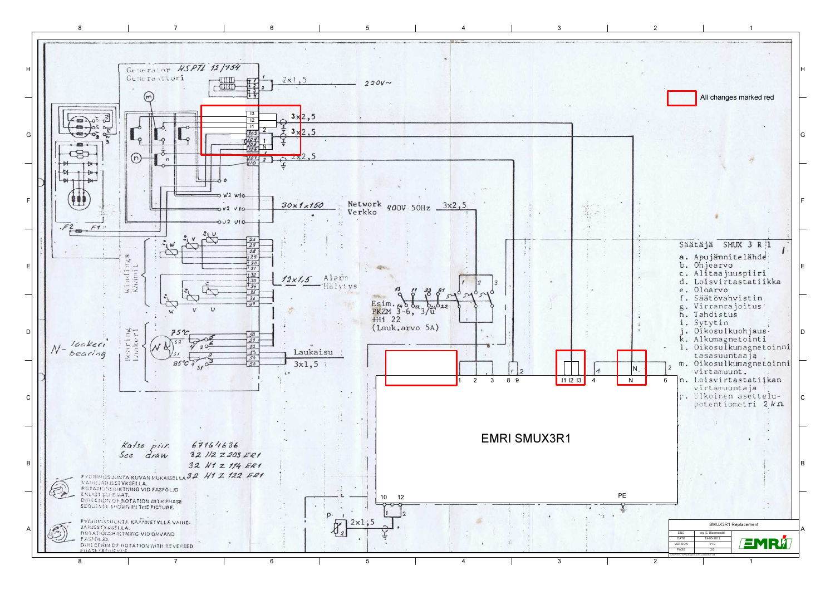